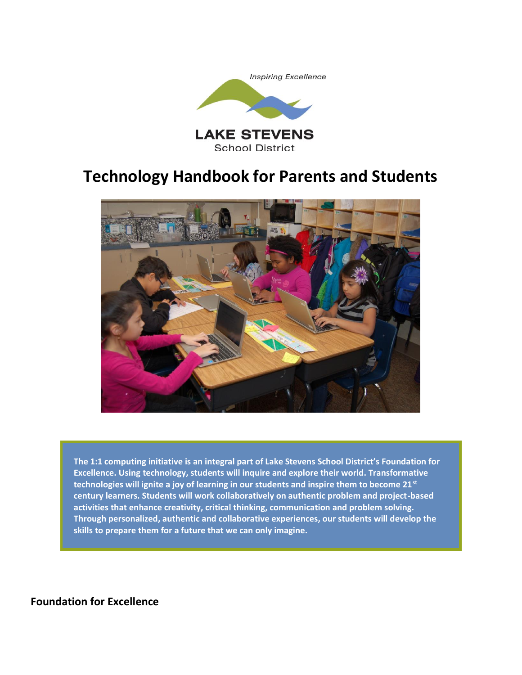



**The 1:1 computing initiative is an integral part of Lake Stevens School District's Foundation for Excellence. Using technology, students will inquire and explore their world. Transformative technologies will ignite a joy of learning in our students and inspire them to become 21st century learners. Students will work collaboratively on authentic problem and project-based activities that enhance creativity, critical thinking, communication and problem solving. Through personalized, authentic and collaborative experiences, our students will develop the skills to prepare them for a future that we can only imagine.**

**Foundation for Excellence**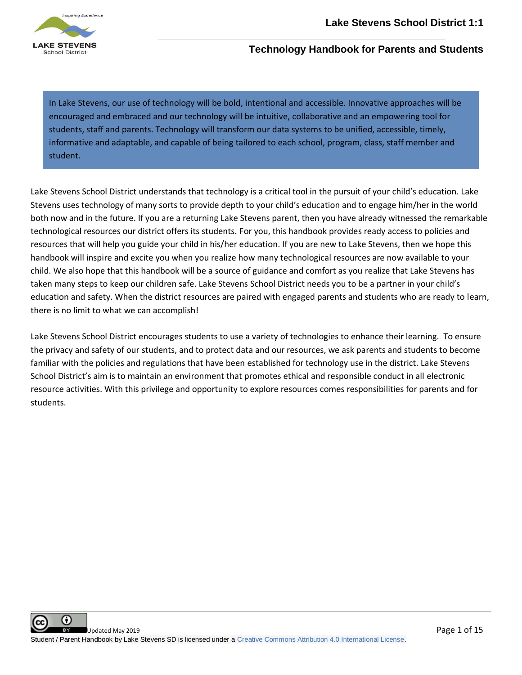

In Lake Stevens, our use of technology will be bold, intentional and accessible. Innovative approaches will be encouraged and embraced and our technology will be intuitive, collaborative and an empowering tool for students, staff and parents. Technology will transform our data systems to be unified, accessible, timely, informative and adaptable, and capable of being tailored to each school, program, class, staff member and student.

Lake Stevens School District understands that technology is a critical tool in the pursuit of your child's education. Lake Stevens uses technology of many sorts to provide depth to your child's education and to engage him/her in the world both now and in the future. If you are a returning Lake Stevens parent, then you have already witnessed the remarkable technological resources our district offers its students. For you, this handbook provides ready access to policies and resources that will help you guide your child in his/her education. If you are new to Lake Stevens, then we hope this handbook will inspire and excite you when you realize how many technological resources are now available to your child. We also hope that this handbook will be a source of guidance and comfort as you realize that Lake Stevens has taken many steps to keep our children safe. Lake Stevens School District needs you to be a partner in your child's education and safety. When the district resources are paired with engaged parents and students who are ready to learn, there is no limit to what we can accomplish!

Lake Stevens School District encourages students to use a variety of technologies to enhance their learning. To ensure the privacy and safety of our students, and to protect data and our resources, we ask parents and students to become familiar with the policies and regulations that have been established for technology use in the district. Lake Stevens School District's aim is to maintain an environment that promotes ethical and responsible conduct in all electronic resource activities. With this privilege and opportunity to explore resources comes responsibilities for parents and for students.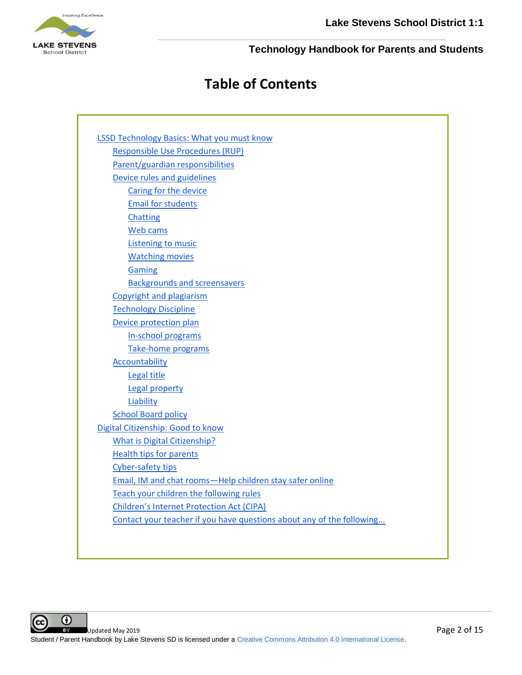

# **Table of Contents**

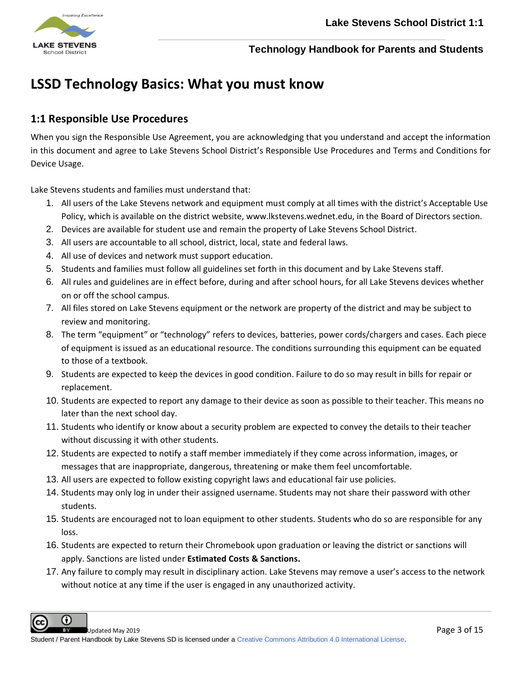

# <span id="page-3-0"></span>**LSSD Technology Basics: What you must know**

# <span id="page-3-1"></span>**1:1 Responsible Use Procedures**

When you sign the [R](https://docs.google.com/document/d/1XazAaycMtcjySssxOGjNVxopBpjCVvuSQ7x89VF2iF0/edit?usp=sharing)esponsible Use Agreement, you are acknowledging that you understand and accept the information in this document and agree to Lake Stevens School District's Responsible Use Procedures and Terms and Conditions for Device Usage.

Lake Stevens students and families must understand that:

- 1. All users of the Lake Stevens network and equipment must comply at all times with the district's Acceptable Use Policy, which is available on the district website, www.lkstevens.wednet.edu, in the Board of Directors section.
- 2. Devices are available for student use and remain the property of Lake Stevens School District.
- 3. All users are accountable to all school, district, local, state and federal laws.
- 4. All use of devices and network must support education.
- 5. Students and families must follow all guidelines set forth in this document and by Lake Stevens staff.
- 6. All rules and guidelines are in effect before, during and after school hours, for all Lake Stevens devices whether on or off the school campus.
- 7. All files stored on Lake Stevens equipment or the network are property of the district and may be subject to review and monitoring.
- 8. The term "equipment" or "technology" refers to devices, batteries, power cords/chargers and cases. Each piece of equipment is issued as an educational resource. The conditions surrounding this equipment can be equated to those of a textbook.
- 9. Students are expected to keep the devices in good condition. Failure to do so may result in bills for repair or replacement.
- 10. Students are expected to report any damage to their device as soon as possible to their teacher. This means no later than the next school day.
- 11. Students who identify or know about a security problem are expected to convey the details to their teacher without discussing it with other students.
- 12. Students are expected to notify a staff member immediately if they come across information, images, or messages that are inappropriate, dangerous, threatening or make them feel uncomfortable.
- 13. All users are expected to follow existing copyright laws and educational fair use policies.
- 14. Students may only log in under their assigned username. Students may not share their password with other students.
- 15. Students are encouraged not to loan equipment to other students. Students who do so are responsible for any loss.
- 16. Students are expected to return their Chromebook upon graduation or leaving the district or sanctions will apply. Sanctions are listed under **Estimated Costs & Sanctions.**
- 17. Any failure to comply may result in disciplinary action. Lake Stevens may remove a user's access to the network without notice at any time if the user is engaged in any unauthorized activity.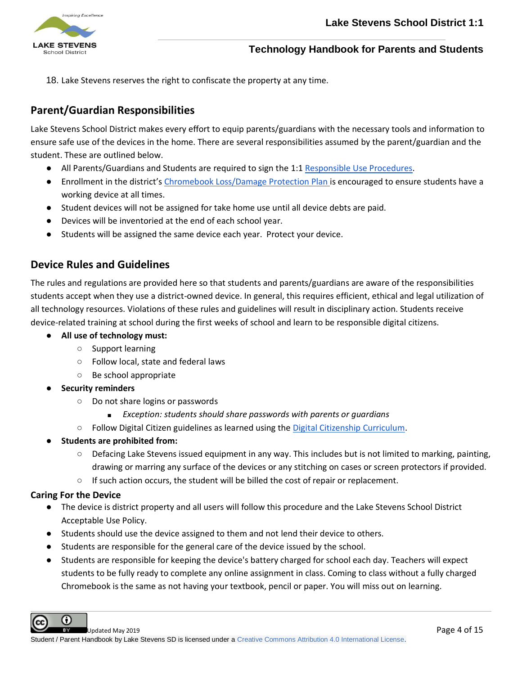

18. Lake Stevens reserves the right to confiscate the property at any time.

# <span id="page-4-0"></span>**Parent/Guardian Responsibilities**

Lake Stevens School District makes every effort to equip parents/guardians with the necessary tools and information to ensure safe use of the devices in the home. There are several responsibilities assumed by the parent/guardian and the student. These are outlined below.

- All Parents/Guardians and Students are required to sign the [1:1 Responsible Use Procedures.](https://docs.google.com/document/d/1XazAaycMtcjySssxOGjNVxopBpjCVvuSQ7x89VF2iF0/edit?usp=sharing)
- Enrollment in the district's [Chromebook Loss/Damage Protection Plan i](https://docs.google.com/document/d/1QTXJerEs7oFnX8esajqvpr722X1F8xHRM9tIOYzbw74/view)s encouraged to ensure students have a working device at all times.
- Student devices will not be assigned for take home use until all device debts are paid.
- Devices will be inventoried at the end of each school year.
- Students will be assigned the same device each year. Protect your device.

# <span id="page-4-1"></span>**Device Rules and Guidelines**

The rules and regulations are provided here so that students and parents/guardians are aware of the responsibilities students accept when they use a district-owned device. In general, this requires efficient, ethical and legal utilization of all technology resources. Violations of these rules and guidelines will result in disciplinary action. Students receive device-related training at school during the first weeks of school and learn to be responsible digital citizens.

- **● All use of technology must:**
	- **○** Support learning
	- **○** Follow local, state and federal laws
	- **○** Be school appropriate
- **● Security reminders**
	- **○** Do not share logins or passwords
		- **■** *Exception: students should share passwords with parents or guardians*
	- **○** Follow Digital Citizen guidelines as learned using the [Digital Citizenship Curriculum.](https://drive.google.com/open?id=1aFj6EEH8aAoDzFq67ZIHKfmBk8wClq165HD10DST6V8&authuser=0)
- **● Students are prohibited from:**
	- **○** Defacing Lake Stevens issued equipment in any way. This includes but is not limited to marking, painting, drawing or marring any surface of the devices or any stitching on cases or screen protectors if provided.
	- **○** If such action occurs, the student will be billed the cost of repair or replacement.

### <span id="page-4-2"></span>**Caring For the Device**

G)

- The device is district property and all users will follow this procedure and the Lake Stevens School District Acceptable Use Policy.
- Students should use the device assigned to them and not lend their device to others.
- Students are responsible for the general care of the device issued by the school.
- Students are responsible for keeping the device's battery charged for school each day. Teachers will expect students to be fully ready to complete any online assignment in class. Coming to class without a fully charged Chromebook is the same as not having your textbook, pencil or paper. You will miss out on learning.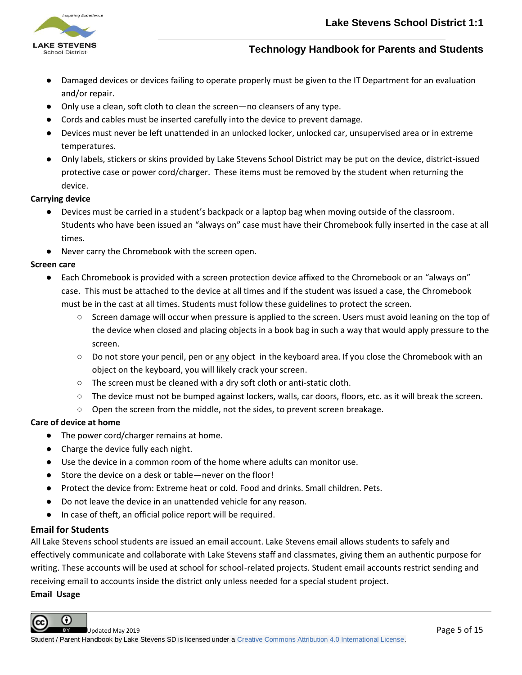

- Damaged devices or devices failing to operate properly must be given to the IT Department for an evaluation and/or repair.
- Only use a clean, soft cloth to clean the screen—no cleansers of any type.
- Cords and cables must be inserted carefully into the device to prevent damage.
- Devices must never be left unattended in an unlocked locker, unlocked car, unsupervised area or in extreme temperatures.
- Only labels, stickers or skins provided by Lake Stevens School District may be put on the device, district-issued protective case or power cord/charger. These items must be removed by the student when returning the device.

#### **Carrying device**

- Devices must be carried in a student's backpack or a laptop bag when moving outside of the classroom. Students who have been issued an "always on" case must have their Chromebook fully inserted in the case at all times.
- Never carry the Chromebook with the screen open.

#### **Screen care**

- Each Chromebook is provided with a screen protection device affixed to the Chromebook or an "always on" case. This must be attached to the device at all times and if the student was issued a case, the Chromebook must be in the cast at all times. Students must follow these guidelines to protect the screen.
	- Screen damage will occur when pressure is applied to the screen. Users must avoid leaning on the top of the device when closed and placing objects in a book bag in such a way that would apply pressure to the screen.
	- Do not store your pencil, pen or any object in the keyboard area. If you close the Chromebook with an object on the keyboard, you will likely crack your screen.
	- The screen must be cleaned with a dry soft cloth or anti-static cloth.
	- The device must not be bumped against lockers, walls, car doors, floors, etc. as it will break the screen.
	- Open the screen from the middle, not the sides, to prevent screen breakage.

#### **Care of device at home**

- The power cord/charger remains at home.
- Charge the device fully each night.
- Use the device in a common room of the home where adults can monitor use.
- Store the device on a desk or table—never on the floor!
- Protect the device from: Extreme heat or cold. Food and drinks. Small children. Pets.
- Do not leave the device in an unattended vehicle for any reason.
- In case of theft, an official police report will be required.

#### <span id="page-5-0"></span>**Email for Students**

All Lake Stevens school students are issued an email account. Lake Stevens email allows students to safely and effectively communicate and collaborate with Lake Stevens staff and classmates, giving them an authentic purpose for writing. These accounts will be used at school for school-related projects. Student email accounts restrict sending and receiving email to accounts inside the district only unless needed for a special student project.

#### **Email Usage**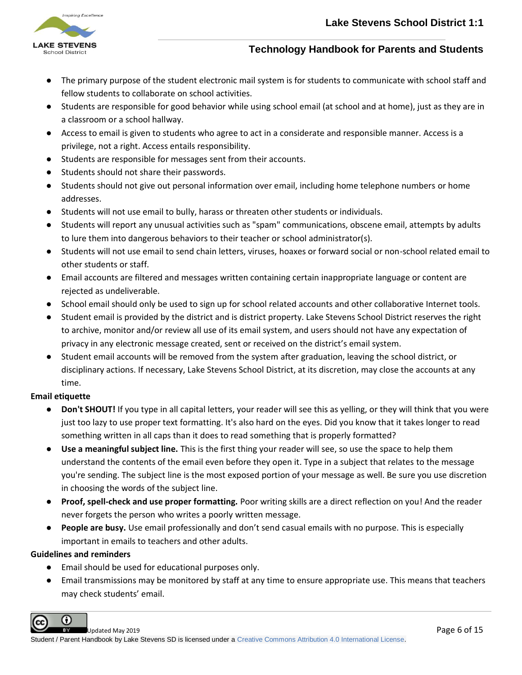

- The primary purpose of the student electronic mail system is for students to communicate with school staff and fellow students to collaborate on school activities.
- Students are responsible for good behavior while using school email (at school and at home), just as they are in a classroom or a school hallway.
- Access to email is given to students who agree to act in a considerate and responsible manner. Access is a privilege, not a right. Access entails responsibility.
- Students are responsible for messages sent from their accounts.
- Students should not share their passwords.
- Students should not give out personal information over email, including home telephone numbers or home addresses.
- Students will not use email to bully, harass or threaten other students or individuals.
- Students will report any unusual activities such as "spam" communications, obscene email, attempts by adults to lure them into dangerous behaviors to their teacher or school administrator(s).
- Students will not use email to send chain letters, viruses, hoaxes or forward social or non-school related email to other students or staff.
- Email accounts are filtered and messages written containing certain inappropriate language or content are rejected as undeliverable.
- School email should only be used to sign up for school related accounts and other collaborative Internet tools.
- Student email is provided by the district and is district property. Lake Stevens School District reserves the right to archive, monitor and/or review all use of its email system, and users should not have any expectation of privacy in any electronic message created, sent or received on the district's email system.
- Student email accounts will be removed from the system after graduation, leaving the school district, or disciplinary actions. If necessary, Lake Stevens School District, at its discretion, may close the accounts at any time.

### **Email etiquette**

- **Don't SHOUT!** If you type in all capital letters, your reader will see this as yelling, or they will think that you were just too lazy to use proper text formatting. It's also hard on the eyes. Did you know that it takes longer to read something written in all caps than it does to read something that is properly formatted?
- **Use a meaningful subject line.** This is the first thing your reader will see, so use the space to help them understand the contents of the email even before they open it. Type in a subject that relates to the message you're sending. The subject line is the most exposed portion of your message as well. Be sure you use discretion in choosing the words of the subject line.
- **Proof, spell-check and use proper formatting.** Poor writing skills are a direct reflection on you! And the reader never forgets the person who writes a poorly written message.
- **People are busy.** Use email professionally and don't send casual emails with no purpose. This is especially important in emails to teachers and other adults.

### **Guidelines and reminders**

- Email should be used for educational purposes only.
- Email transmissions may be monitored by staff at any time to ensure appropriate use. This means that teachers may check students' email.

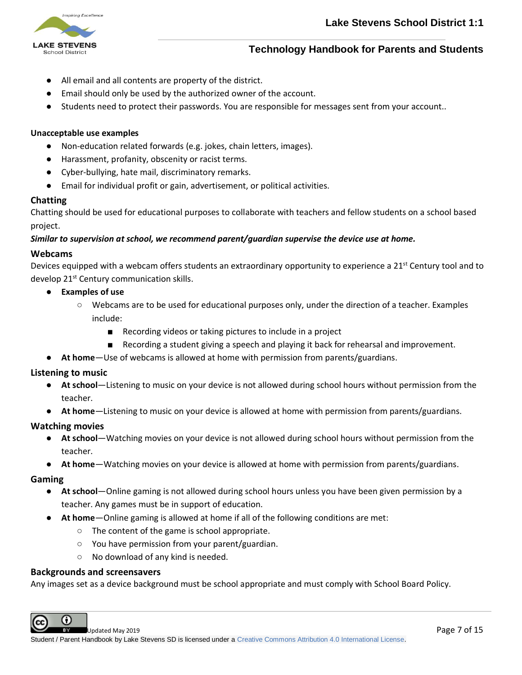

- All email and all contents are property of the district.
- Email should only be used by the authorized owner of the account.
- Students need to protect their passwords. You are responsible for messages sent from your account..

#### **Unacceptable use examples**

- Non-education related forwards (e.g. jokes, chain letters, images).
- Harassment, profanity, obscenity or racist terms.
- Cyber-bullying, hate mail, discriminatory remarks.
- Email for individual profit or gain, advertisement, or political activities.

#### <span id="page-7-0"></span>**Chatting**

Chatting should be used for educational purposes to collaborate with teachers and fellow students on a school based project.

*Similar to supervision at school, we recommend parent/guardian supervise the device use at home.*

#### <span id="page-7-1"></span>**Webcams**

Devices equipped with a webcam offers students an extraordinary opportunity to experience a 21<sup>st</sup> Century tool and to develop 21st Century communication skills.

- **● Examples of use**
	- **○** Webcams are to be used for educational purposes only, under the direction of a teacher. Examples include:
		- Recording videos or taking pictures to include in a project
		- Recording a student giving a speech and playing it back for rehearsal and improvement.
- **● At home**—Use of webcams is allowed at home with permission from parents/guardians.

#### <span id="page-7-2"></span>**Listening to music**

- **● At school**—Listening to music on your device is not allowed during school hours without permission from the teacher.
- **● At home**—Listening to music on your device is allowed at home with permission from parents/guardians.

#### <span id="page-7-3"></span>**Watching movies**

- **● At school**—Watching movies on your device is not allowed during school hours without permission from the teacher.
- **● At home**—Watching movies on your device is allowed at home with permission from parents/guardians.

#### <span id="page-7-4"></span>**Gaming**

- **● At school**—Online gaming is not allowed during school hours unless you have been given permission by a teacher. Any games must be in support of education.
- **● At home**—Online gaming is allowed at home if all of the following conditions are met:
	- **○** The content of the game is school appropriate.
	- **○** You have permission from your parent/guardian.
	- **○** No download of any kind is needed.

#### <span id="page-7-5"></span>**Backgrounds and screensavers**

Any images set as a device background must be school appropriate and must comply with School Board Policy.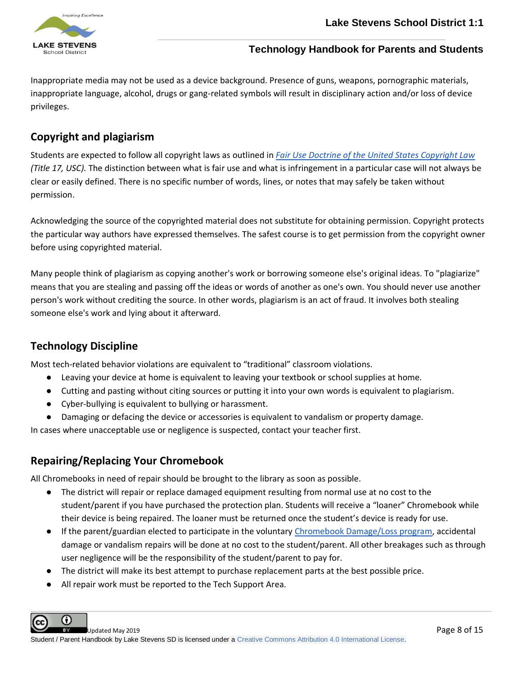

Inappropriate media may not be used as a device background. Presence of guns, weapons, pornographic materials, inappropriate language, alcohol, drugs or gang-related symbols will result in disciplinary action and/or loss of device privileges.

# <span id="page-8-0"></span>**Copyright and plagiarism**

Students are expected to follow all copyright laws as outlined in *[Fair Use Doctrine of the United States Copyright Law](http://www.copyright.gov/fls/fl102.html) (Title 17, USC).* The distinction between what is fair use and what is infringement in a particular case will not always be clear or easily defined. There is no specific number of words, lines, or notes that may safely be taken without permission.

Acknowledging the source of the copyrighted material does not substitute for obtaining permission. Copyright protects the particular way authors have expressed themselves. The safest course is to get permission from the copyright owner before using copyrighted material.

Many people think of plagiarism as copying another's work or borrowing someone else's original ideas. To "plagiarize" means that you are stealing and passing off the ideas or words of another as one's own. You should never use another person's work without crediting the source. In other words, plagiarism is an act of fraud. It involves both stealing someone else's work and lying about it afterward.

# <span id="page-8-1"></span>**Technology Discipline**

Most tech-related behavior violations are equivalent to "traditional" classroom violations.

- Leaving your device at home is equivalent to leaving your textbook or school supplies at home.
- Cutting and pasting without citing sources or putting it into your own words is equivalent to plagiarism.
- Cyber-bullying is equivalent to bullying or harassment.
- Damaging or defacing the device or accessories is equivalent to vandalism or property damage.

In cases where unacceptable use or negligence is suspected, contact your teacher first.

# **Repairing/Replacing Your Chromebook**

All Chromebooks in need of repair should be brought to the library as soon as possible.

- The district will repair or replace damaged equipment resulting from normal use at no cost to the student/parent if you have purchased the protection plan. Students will receive a "loaner" Chromebook while their device is being repaired. The loaner must be returned once the student's device is ready for use.
- If the parent/guardian elected to participate in the voluntary [Chromebook Damage/Loss program,](https://docs.google.com/document/d/1QTXJerEs7oFnX8esajqvpr722X1F8xHRM9tIOYzbw74/view) accidental damage or vandalism repairs will be done at no cost to the student/parent. All other breakages such as through user negligence will be the responsibility of the student/parent to pay for.
- The district will make its best attempt to purchase replacement parts at the best possible price.
- All repair work must be reported to the Tech Support Area.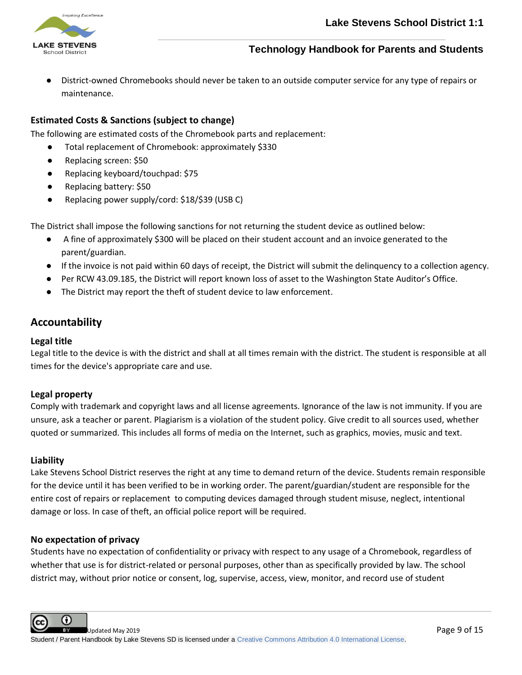

District-owned Chromebooks should never be taken to an outside computer service for any type of repairs or maintenance.

## **Estimated Costs & Sanctions (subject to change)**

The following are estimated costs of the Chromebook parts and replacement:

- Total replacement of Chromebook: approximately \$330
- Replacing screen: \$50
- Replacing keyboard/touchpad: \$75
- Replacing battery: \$50
- Replacing power supply/cord: \$18/\$39 (USB C)

The District shall impose the following sanctions for not returning the student device as outlined below:

- A fine of approximately \$300 will be placed on their student account and an invoice generated to the parent/guardian.
- If the invoice is not paid within 60 days of receipt, the District will submit the delinquency to a collection agency.
- Per RCW 43.09.185, the District will report known loss of asset to the Washington State Auditor's Office.
- The District may report the theft of student device to law enforcement.

# <span id="page-9-0"></span>**Accountability**

### <span id="page-9-1"></span>**Legal title**

Legal title to the device is with the district and shall at all times remain with the district. The student is responsible at all times for the device's appropriate care and use.

#### **Legal property**

Comply with trademark and copyright laws and all license agreements. Ignorance of the law is not immunity. If you are unsure, ask a teacher or parent. Plagiarism is a violation of the student policy. Give credit to all sources used, whether quoted or summarized. This includes all forms of media on the Internet, such as graphics, movies, music and text.

#### <span id="page-9-2"></span>**Liability**

Lake Stevens School District reserves the right at any time to demand return of the device. Students remain responsible for the device until it has been verified to be in working order. The parent/guardian/student are responsible for the entire cost of repairs or replacement to computing devices damaged through student misuse, neglect, intentional damage or loss. In case of theft, an official police report will be required.

#### **No expectation of privacy**

Students have no expectation of confidentiality or privacy with respect to any usage of a Chromebook, regardless of whether that use is for district-related or personal purposes, other than as specifically provided by law. The school district may, without prior notice or consent, log, supervise, access, view, monitor, and record use of student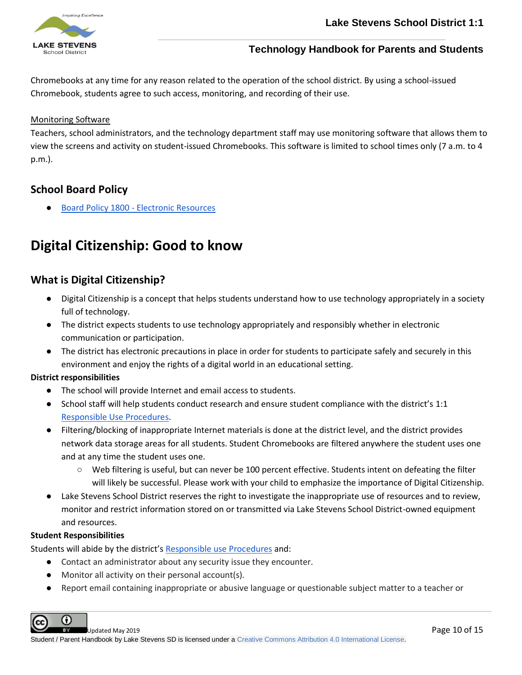

Chromebooks at any time for any reason related to the operation of the school district. By using a school-issued Chromebook, students agree to such access, monitoring, and recording of their use.

### Monitoring Software

Teachers, school administrators, and the technology department staff may use monitoring software that allows them to view the screens and activity on student-issued Chromebooks. This software is limited to school times only (7 a.m. to 4 p.m.).

# <span id="page-10-0"></span>**School Board Policy**

Board Policy 1800 - [Electronic Resources](https://sites.google.com/a/lkstevens.wednet.edu/lssddocs/school-board-policies/1000-series---board/1800%20-%20Electronic%20Resources.pdf)

# **Digital Citizenship: Good to know**

# <span id="page-10-1"></span>**What is Digital Citizenship?**

- Digital Citizenship is a concept that helps students understand how to use technology appropriately in a society full of technology.
- The district expects students to use technology appropriately and responsibly whether in electronic communication or participation.
- The district has electronic precautions in place in order for students to participate safely and securely in this environment and enjoy the rights of a digital world in an educational setting.

#### **District responsibilities**

- The school will provide Internet and email access to students.
- School staff will help students conduct research and ensure student compliance with the district's 1:1 [Responsible Use Procedures.](https://docs.google.com/document/d/1XazAaycMtcjySssxOGjNVxopBpjCVvuSQ7x89VF2iF0/edit?usp=sharing)
- Filtering/blocking of inappropriate Internet materials is done at the district level, and the district provides network data storage areas for all students. Student Chromebooks are filtered anywhere the student uses one and at any time the student uses one.
	- Web filtering is useful, but can never be 100 percent effective. Students intent on defeating the filter will likely be successful. Please work with your child to emphasize the importance of Digital Citizenship.
- Lake Stevens School District reserves the right to investigate the inappropriate use of resources and to review, monitor and restrict information stored on or transmitted via Lake Stevens School District-owned equipment and resources.

#### **Student Responsibilities**

Students will abide by the district's [Responsible use Procedures](https://docs.google.com/document/d/1XazAaycMtcjySssxOGjNVxopBpjCVvuSQ7x89VF2iF0/edit?usp=sharing) and:

- Contact an administrator about any security issue they encounter.
- Monitor all activity on their personal account(s).
- Report email containing inappropriate or abusive language or questionable subject matter to a teacher or

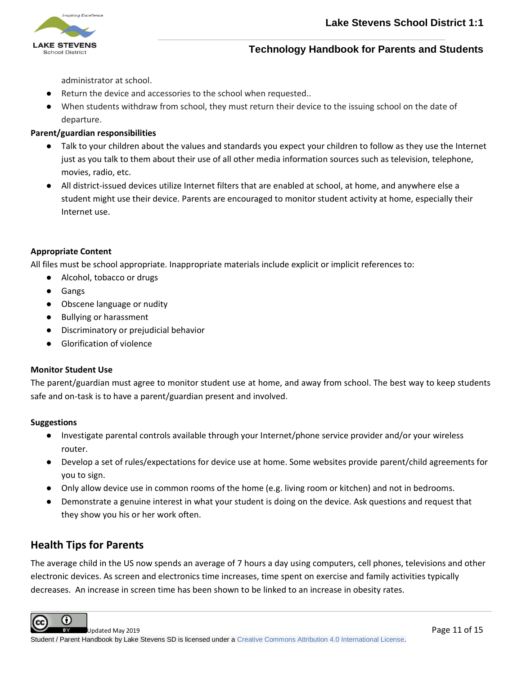

administrator at school.

- Return the device and accessories to the school when requested..
- When students withdraw from school, they must return their device to the issuing school on the date of departure.

### **Parent/guardian responsibilities**

- Talk to your children about the values and standards you expect your children to follow as they use the Internet just as you talk to them about their use of all other media information sources such as television, telephone, movies, radio, etc.
- All district-issued devices utilize Internet filters that are enabled at school, at home, and anywhere else a student might use their device. Parents are encouraged to monitor student activity at home, especially their Internet use.

#### **Appropriate Content**

All files must be school appropriate. Inappropriate materials include explicit or implicit references to:

- Alcohol, tobacco or drugs
- Gangs
- Obscene language or nudity
- Bullying or harassment
- Discriminatory or prejudicial behavior
- **Glorification of violence**

#### **Monitor Student Use**

The parent/guardian must agree to monitor student use at home, and away from school. The best way to keep students safe and on-task is to have a parent/guardian present and involved.

#### **Suggestions**

- Investigate parental controls available through your Internet/phone service provider and/or your wireless router.
- Develop a set of rules/expectations for device use at home. Some websites provide parent/child agreements for you to sign.
- Only allow device use in common rooms of the home (e.g. living room or kitchen) and not in bedrooms.
- Demonstrate a genuine interest in what your student is doing on the device. Ask questions and request that they show you his or her work often.

# <span id="page-11-0"></span>**Health Tips for Parents**

The average child in the US now spends an average of 7 hours a day using computers, cell phones, televisions and other electronic devices. As screen and electronics time increases, time spent on exercise and family activities typically decreases. An increase in screen time has been shown to be linked to an increase in obesity rates.

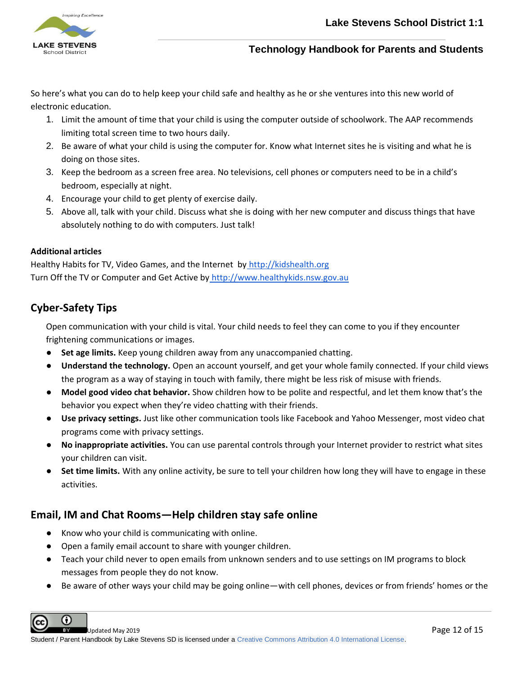

So here's what you can do to help keep your child safe and healthy as he or she ventures into this new world of electronic education.

- 1. Limit the amount of time that your child is using the computer outside of schoolwork. The AAP recommends limiting total screen time to two hours daily.
- 2. Be aware of what your child is using the computer for. Know what Internet sites he is visiting and what he is doing on those sites.
- 3. Keep the bedroom as a screen free area. No televisions, cell phones or computers need to be in a child's bedroom, especially at night.
- 4. Encourage your child to get plenty of exercise daily.
- 5. Above all, talk with your child. Discuss what she is doing with her new computer and discuss things that have absolutely nothing to do with computers. Just talk!

### **Additional articles**

Healthy Habits for TV, Video Games, and the Internet by [http://kidshealth.org](http://kidshealth.org/) Turn Off the TV or Computer and Get Active by [http://www.healthykids.nsw.gov.au](http://www.healthykids.nsw.gov.au/)

# **Cyber-Safety Tips**

Open communication with your child is vital. Your child needs to feel they can come to you if they encounter frightening communications or images.

- **Set age limits.** Keep young children away from any unaccompanied chatting.
- **Understand the technology.** Open an account yourself, and get your whole family connected. If your child views the program as a way of staying in touch with family, there might be less risk of misuse with friends.
- **Model good video chat behavior.** Show children how to be polite and respectful, and let them know that's the behavior you expect when they're video chatting with their friends.
- **Use privacy settings.** Just like other communication tools like Facebook and Yahoo Messenger, most video chat programs come with privacy settings.
- **No inappropriate activities.** You can use parental controls through your Internet provider to restrict what sites your children can visit.
- **Set time limits.** With any online activity, be sure to tell your children how long they will have to engage in these activities.

# <span id="page-12-0"></span>**Email, IM and Chat Rooms—Help children stay safe online**

- Know who your child is communicating with online.
- Open a family email account to share with younger children.
- Teach your child never to open emails from unknown senders and to use settings on IM programs to block messages from people they do not know.
- Be aware of other ways your child may be going online—with cell phones, devices or from friends' homes or the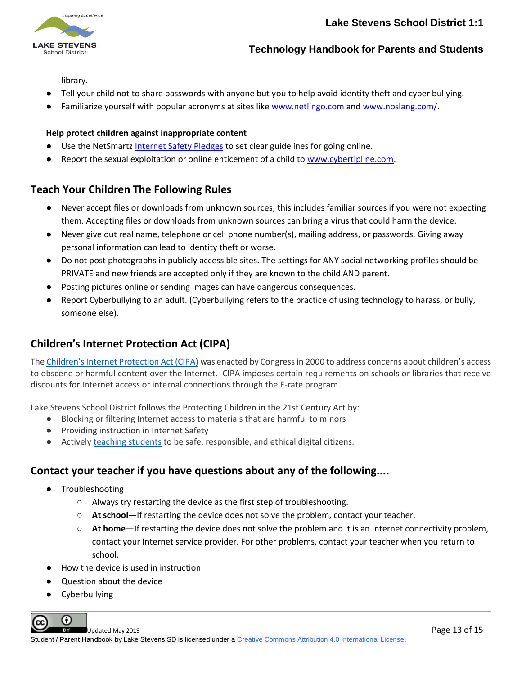

library.

- Tell your child not to share passwords with anyone but you to help avoid identity theft and cyber bullying.
- Familiarize yourself with popular acronyms at sites like www.netlingo.com and www.noslang.com/.

#### **Help protect children against inappropriate content**

- Use the NetSmartz [Internet Safety Pledges](http://www.netsmartz.org/Resources/Pledges) to set clear guidelines for going online.
- Report the sexual exploitation or online enticement of a child to [www.cybertipline.com.](http://www.cybertipline.com/)

# <span id="page-13-0"></span>**Teach Your Children The Following Rules**

- Never accept files or downloads from unknown sources; this includes familiar sources if you were not expecting them. Accepting files or downloads from unknown sources can bring a virus that could harm the device.
- Never give out real name, telephone or cell phone number(s), mailing address, or passwords. Giving away personal information can lead to identity theft or worse.
- Do not post photographs in publicly accessible sites. The settings for ANY social networking profiles should be PRIVATE and new friends are accepted only if they are known to the child AND parent.
- Posting pictures online or sending images can have dangerous consequences.
- Report Cyberbullying to an adult. (Cyberbullying refers to the practice of using technology to harass, or bully, someone else).

# <span id="page-13-1"></span>**Children's Internet Protection Act (CIPA)**

The [Children's Internet Protection Act \(CIPA\)](http://www.fcc.gov/guides/childrens-internet-protection-act) was enacted by Congress in 2000 to address concerns about children's access to obscene or harmful content over the Internet. CIPA imposes certain requirements on schools or libraries that receive discounts for Internet access or internal connections through the E-rate program.

Lake Stevens School District follows the Protecting Children in the 21st Century Act by:

- Blocking or filtering Internet access to materials that are harmful to minors
- Providing instruction in Internet Safety
- Activel[y teaching students](https://docs.google.com/document/d/1aFj6EEH8aAoDzFq67ZIHKfmBk8wClq165HD10DST6V8/edit?usp=sharing) to be safe, responsible, and ethical digital citizens.

# <span id="page-13-2"></span>**Contact your teacher if you have questions about any of the following....**

- **Troubleshooting** 
	- Always try restarting the device as the first step of troubleshooting.
	- **At school**—If restarting the device does not solve the problem, contact your teacher.
	- **At home**—If restarting the device does not solve the problem and it is an Internet connectivity problem, contact your Internet service provider. For other problems, contact your teacher when you return to school.
- How the device is used in instruction
- Question about the device
- Cyberbullying